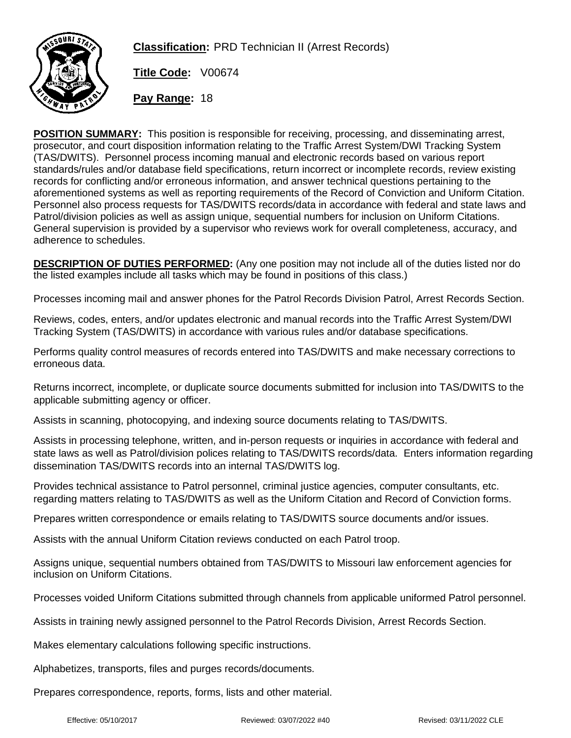

**Classification:** PRD Technician II (Arrest Records)

**Title Code:** V00674

**Pay Range:** 18

**POSITION SUMMARY:** This position is responsible for receiving, processing, and disseminating arrest, prosecutor, and court disposition information relating to the Traffic Arrest System/DWI Tracking System (TAS/DWITS). Personnel process incoming manual and electronic records based on various report standards/rules and/or database field specifications, return incorrect or incomplete records, review existing records for conflicting and/or erroneous information, and answer technical questions pertaining to the aforementioned systems as well as reporting requirements of the Record of Conviction and Uniform Citation. Personnel also process requests for TAS/DWITS records/data in accordance with federal and state laws and Patrol/division policies as well as assign unique, sequential numbers for inclusion on Uniform Citations. General supervision is provided by a supervisor who reviews work for overall completeness, accuracy, and adherence to schedules.

**DESCRIPTION OF DUTIES PERFORMED:** (Any one position may not include all of the duties listed nor do the listed examples include all tasks which may be found in positions of this class.)

Processes incoming mail and answer phones for the Patrol Records Division Patrol, Arrest Records Section.

Reviews, codes, enters, and/or updates electronic and manual records into the Traffic Arrest System/DWI Tracking System (TAS/DWITS) in accordance with various rules and/or database specifications.

Performs quality control measures of records entered into TAS/DWITS and make necessary corrections to erroneous data.

Returns incorrect, incomplete, or duplicate source documents submitted for inclusion into TAS/DWITS to the applicable submitting agency or officer.

Assists in scanning, photocopying, and indexing source documents relating to TAS/DWITS.

Assists in processing telephone, written, and in-person requests or inquiries in accordance with federal and state laws as well as Patrol/division polices relating to TAS/DWITS records/data. Enters information regarding dissemination TAS/DWITS records into an internal TAS/DWITS log.

Provides technical assistance to Patrol personnel, criminal justice agencies, computer consultants, etc. regarding matters relating to TAS/DWITS as well as the Uniform Citation and Record of Conviction forms.

Prepares written correspondence or emails relating to TAS/DWITS source documents and/or issues.

Assists with the annual Uniform Citation reviews conducted on each Patrol troop.

Assigns unique, sequential numbers obtained from TAS/DWITS to Missouri law enforcement agencies for inclusion on Uniform Citations.

Processes voided Uniform Citations submitted through channels from applicable uniformed Patrol personnel.

Assists in training newly assigned personnel to the Patrol Records Division, Arrest Records Section.

Makes elementary calculations following specific instructions.

Alphabetizes, transports, files and purges records/documents.

Prepares correspondence, reports, forms, lists and other material.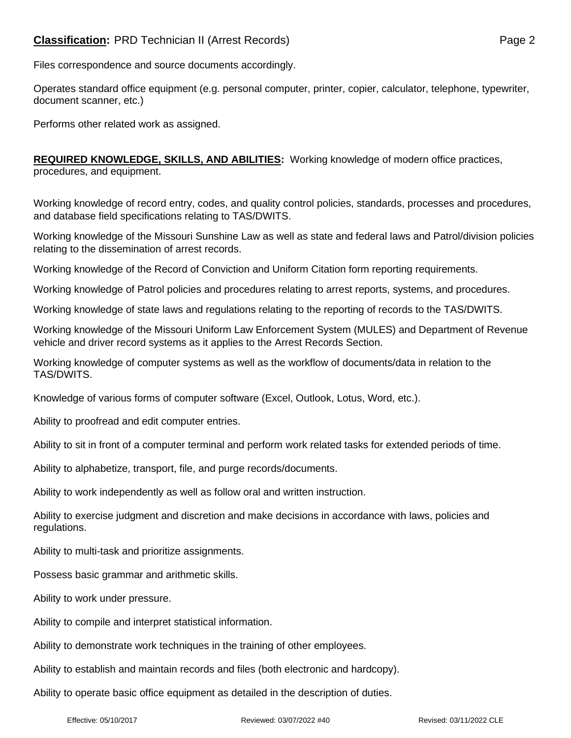## **Classification:** PRD Technician II (Arrest Records) **Page 2** Page 2

Files correspondence and source documents accordingly.

Operates standard office equipment (e.g. personal computer, printer, copier, calculator, telephone, typewriter, document scanner, etc.)

Performs other related work as assigned.

**REQUIRED KNOWLEDGE, SKILLS, AND ABILITIES:** Working knowledge of modern office practices, procedures, and equipment.

Working knowledge of record entry, codes, and quality control policies, standards, processes and procedures, and database field specifications relating to TAS/DWITS.

Working knowledge of the Missouri Sunshine Law as well as state and federal laws and Patrol/division policies relating to the dissemination of arrest records.

Working knowledge of the Record of Conviction and Uniform Citation form reporting requirements.

Working knowledge of Patrol policies and procedures relating to arrest reports, systems, and procedures.

Working knowledge of state laws and regulations relating to the reporting of records to the TAS/DWITS.

Working knowledge of the Missouri Uniform Law Enforcement System (MULES) and Department of Revenue vehicle and driver record systems as it applies to the Arrest Records Section.

Working knowledge of computer systems as well as the workflow of documents/data in relation to the TAS/DWITS.

Knowledge of various forms of computer software (Excel, Outlook, Lotus, Word, etc.).

Ability to proofread and edit computer entries.

Ability to sit in front of a computer terminal and perform work related tasks for extended periods of time.

Ability to alphabetize, transport, file, and purge records/documents.

Ability to work independently as well as follow oral and written instruction.

Ability to exercise judgment and discretion and make decisions in accordance with laws, policies and regulations.

Ability to multi-task and prioritize assignments.

Possess basic grammar and arithmetic skills.

Ability to work under pressure.

Ability to compile and interpret statistical information.

Ability to demonstrate work techniques in the training of other employees.

Ability to establish and maintain records and files (both electronic and hardcopy).

Ability to operate basic office equipment as detailed in the description of duties.